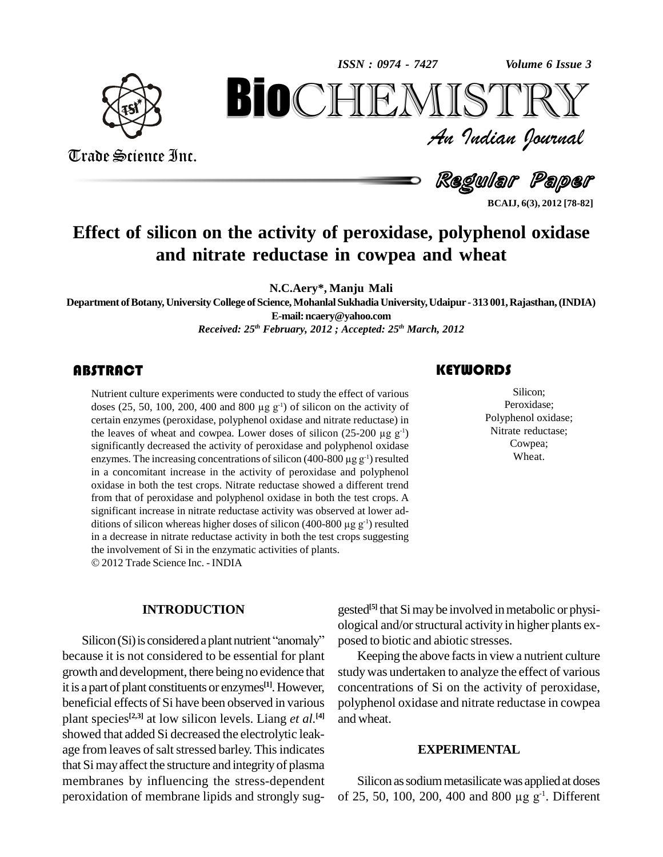

*ISSN : 0974 - 7427*



Trade Science Inc. Trade Science Inc.

An Indian Journal<br>Regular Paper

**BCAIJ, 6(3), 2012 [78-82]**

## **Effect of silicon on the activity of peroxidase, polyphenol oxidase and nitrate reductase in cowpea and wheat**

**N.C.Aery\*, Manju Mali**

**Department ofBotany, University College ofScience,MohanlalSukhadia University,Udaipur - 313 001,Rajasthan,(INDIA) E-mail:[ncaery@yahoo.com](mailto:ncaery@yahoo.com)** *Received: 25 th February, 2012 ; Accepted: 25 th March, 2012*

### **ABSTRACT**

Nutrient culture experiments were conducted to study the effect of various<br>doses (25, 50, 100, 200, 400 and 800 µg g<sup>-1</sup>) of silicon on the activity of<br>certain enzymes (peroxidase, polyphenol oxidase and nitrate reductase Nutrient culture experiments were conducted to study the effect of various certain enzymes (peroxidase, polyphenol oxidase and nitrate reductase) in the leaves of wheat and cowpea. Lower doses of silicon  $(25{\text -}200 \,\mu{\text g\,g}^1)$ significantly decreased the activity of peroxidase and polyphenol oxidase the leaves of wheat and cowpea. Lower doses of silicon (25-200  $\mu$ g g<sup>-1</sup> significantly decreased the activity of peroxidase and polyphenol oxidas enzymes. The increasing concentrations of silicon (400-800  $\mu$ g g<sup>-1</sup>) r enzymes. The increasing concentrations of silicon  $(400-800 \mu g g<sup>-1</sup>)$  resulted in a concomitant increase in the activity of peroxidase and polyphenol oxidase in both the test crops. Nitrate reductase showed a different trend from that of peroxidase and polyphenol oxidase in both the test crops. A significant increase in nitrate reductase activity was observed at lower ad from that of peroxidase and polyphenol oxidase in both the test crops. A significant increase in nitrate reductase activity was observed at lower additions of silicon whereas higher doses of silicon  $(400-800 \mu g g^{-1})$  resu in a decrease in nitrate reductase activity in both the test crops suggesting the involvement of Si in the enzymatic activities of plants. 2012Trade Science Inc. - INDIA

#### **INTRODUCTION**

 $Silicon(Si)$  is considered a plant nutrient "anomaly" because it is not considered to be essential for plant growth and development, there being no evidence that it is a part of plant constituents or enzymes **[1]**.However, beneficial effects of Si have been observed in various plant species<sup>[2,3]</sup> at low silicon levels. Liang *et al*.<sup>[4]</sup> a showed that added Si decreased the electrolytic leakage from leaves of salt stressed barley. This indicates that Simayaffect the structure and integrity of plasma membranes by influencing the stress-dependent peroxidation of membrane lipids and strongly sug-

### **KEYWORDS**

Silicon;<br>Peroxidase;<br>Polyphenol oxidase; Silicon; Peroxidase; Nitrate reductase; Cowpea; Wheat.

gested **[5]** that Simaybe involved inmetabolic or physi ological and/orstructural activity in higher plants ex posed to biotic and abiotic stresses.

Keeping the above facts in view a nutrient culture studywas undertaken to analyze the effect of various concentrations of Si on the activity of peroxidase, polyphenol oxidase and nitrate reductase in cowpea and wheat.

#### **EXPERIMENTAL**

Silicon as sodium metasilicate was applied at doses Silicon as sodium metasilicate was applied at doses<br>of 25, 50, 100, 200, 400 and 800  $\mu$ g g<sup>-1</sup>. Different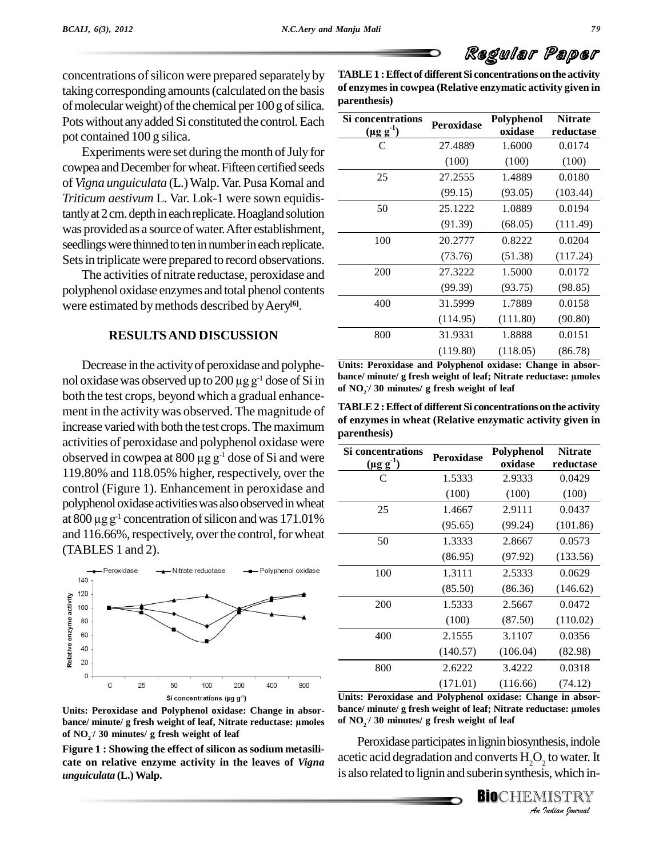concentrations of silicon were prepared separately by taking corresponding amounts(calculated on the basis of molecular weight) of the chemical per 100 g of silica. Pots without any added Si constituted the control. Each pot contained 100 g silica.

Experiments were set during the month of July for cowpea and December for wheat. Fifteen certified seeds of *Vigna unguiculata* (L.)Walp.Var. Pusa Komal and *Triticum aestivum* L. Var. Lok-1 were sown equidistantly at 2 cm. depth in each replicate. Hoagland solution was provided as a source of water. After establishment, seedlings were thinned to ten in number in each replicate. Sets in triplicate were prepared to record observations.

The activities of nitrate reductase, peroxidase and polyphenol oxidase enzymes and total phenol contents were estimated bymethods described byAery **[6]**.

#### **RESULTSAND DISCUSSION**

Decrease in the activity of peroxidase and polyphe-<br>nol oxidase was observed up to 200 µg g<sup>-1</sup> dose of Si in both the test crops, beyond which a gradual enhance ment in the activity was observed. The magnitude of increase varied with both the test crops. The maximum activities of peroxidase and polyphenol oxidase were increase varied with both the test crops. The maximum<br>activities of peroxidase and polyphenol oxidase were<br>observed in cowpea at 800  $\mu$ g g<sup>-1</sup> dose of Si and were 119.80% and 118.05% higher, respectively, over the control (Figure 1). Enhancement in peroxidase and<br>polyphenol oxidase activities was also observed in wheat<br>at 800  $\mu$ g g<sup>-1</sup> concentration of silicon and was 171.01% polyphenol oxidase activities was also observed in wheat at 800  $\mu$ g g<sup>-1</sup> concentration of silicon and was 171.01% and 116.66%, respectively, over the control, for wheat (TABLES 1 and 2).



**Units: Peroxidase and Polyphenol oxidase: Change in absor bance/ minute/ <sup>g</sup> fresh weight of leaf, Nitrate reductase: µmoles of NO<sup>2</sup> -/ 30 minutes/ g fresh weight of leaf**

**Figure 1 : Showing the effect of silicon as sodium metasili cate on relative enzyme activity in the leaves of** *Vigna unguiculata* **(L.)Walp.**

**TABLE1 :Effect ofdifferent Si concentrations onthe activity of enzymesin cowpea (Relative enzymatic activity given in parenthesis)**

| Si concentrations<br>$(\mu g g^{-1})$ | Peroxidase | Polyphenol<br>oxidase | <b>Nitrate</b><br>reductase |
|---------------------------------------|------------|-----------------------|-----------------------------|
| C                                     | 27.4889    | 1.6000                | 0.0174                      |
|                                       | (100)      | (100)                 | (100)                       |
| 25                                    | 27.2555    | 1.4889                | 0.0180                      |
|                                       | (99.15)    | (93.05)               | (103.44)                    |
| 50                                    | 25.1222    | 1.0889                | 0.0194                      |
|                                       | (91.39)    | (68.05)               | (111.49)                    |
| 100                                   | 20.2777    | 0.8222                | 0.0204                      |
|                                       | (73.76)    | (51.38)               | (117.24)                    |
| 200                                   | 27.3222    | 1.5000                | 0.0172                      |
|                                       | (99.39)    | (93.75)               | (98.85)                     |
| 400                                   | 31.5999    | 1.7889                | 0.0158                      |
|                                       | (114.95)   | (111.80)              | (90.80)                     |
| 800                                   | 31.9331    | 1.8888                | 0.0151                      |
|                                       | (119.80)   | (118.05)              | (86.78)                     |

Decrease in the activity of peroxidase and polyphe-<br>  $\frac{1}{2}$  Units: Peroxidase and Polyphenol oxidase: Change in absor-<br>  $\frac{1}{2}$  does of Si in  $\frac{1}{2}$  hance/ minute/ g fresh weight of leaf; Nitrate reductase: umoles **Units: Peroxidase and Polyphenol oxidase: Change in absor bance/ minute/ <sup>g</sup> fresh weight of leaf; Nitrate reductase: µmoles of NO<sup>2</sup> -/ 30 minutes/ g fresh weight of leaf**

 $TABLE2:$  **Effect** of different Si concentrations on the activity **of enzymes in wheat (Relative enzymatic activity given in parenthesis)**

| parentnesis)                       |            |                       |                             |
|------------------------------------|------------|-----------------------|-----------------------------|
| Si concentrations<br>$(\mu g g^1)$ | Peroxidase | Polyphenol<br>oxidase | <b>Nitrate</b><br>reductase |
| C                                  | 1.5333     | 2.9333                | 0.0429                      |
|                                    | (100)      | (100)                 | (100)                       |
| 25                                 | 1.4667     | 2.9111                | 0.0437                      |
|                                    | (95.65)    | (99.24)               | (101.86)                    |
| 50                                 | 1.3333     | 2.8667                | 0.0573                      |
|                                    | (86.95)    | (97.92)               | (133.56)                    |
| 100                                | 1.3111     | 2.5333                | 0.0629                      |
|                                    | (85.50)    | (86.36)               | (146.62)                    |
| 200                                | 1.5333     | 2.5667                | 0.0472                      |
|                                    | (100)      | (87.50)               | (110.02)                    |
| 400                                | 2.1555     | 3.1107                | 0.0356                      |
|                                    | (140.57)   | (106.04)              | (82.98)                     |
| 800                                | 2.6222     | 3.4222                | 0.0318                      |
|                                    | (171.01)   | (116.66)              | (74.12)                     |

**Units: Peroxidase and Polyphenol oxidase: Change in absor bance/ minute/ <sup>g</sup> fresh weight of leaf; Nitrate reductase: µmoles of NO<sup>2</sup> -/ 30 minutes/ g fresh weight of leaf**

**Indiana**<br>**I** *I I I I I I I I ISTRY*<br>*I Isalian Iournal* Peroxidase participates in lignin biosynthesis, indole acetic acid degradation and converts  ${\rm H_2O_2}$  to water. It is also related to lignin and suberin synthesis, which in-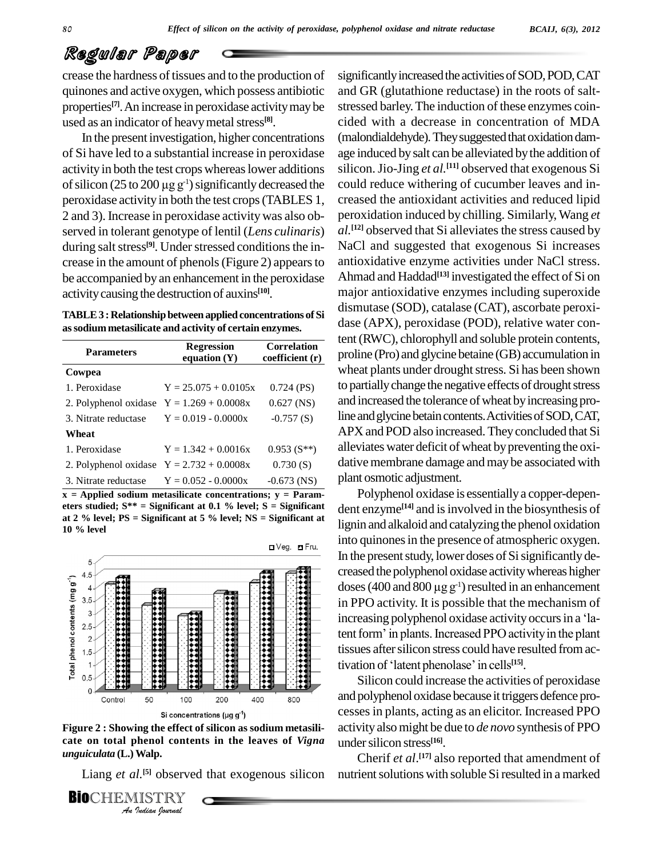crease the hardness of tissues and to the production of quinones and active oxygen, which possess antibiotic properties<sup>[7]</sup>. An increase in peroxidase activity may be stress used as an indicator of heavy metal stress<sup>[8]</sup>.

In the present investigation, higher concentrations of Si have led to a substantial increase in peroxidase age in activity in both the test crops whereas lower additions silicon of silicon (25 to 200  $\mu$ g g<sup>-1</sup>) significantly decreased the could activity in both the test crops whereas lower additions of silicon (25 to 200  $\mu$ g g<sup>-1</sup>) significantly decreased the peroxidase activity in both the test crops (TABLES 1, 2 and 3). Increase in peroxidase activitywas also ob served in tolerant genotype of lentil (*Lens culinaris*) during salt stress<sup>[9]</sup>. Under stressed conditions the in-<br>Na crease in the amount of phenols(Figure 2) appearsto be accompanied by an enhancement in the peroxidase activitycausing the destruction of auxins **[10]**.

| TABLE 3 : Relationship between applied concentrations of Si |  |  |
|-------------------------------------------------------------|--|--|
| as sodium metasilicate and activity of certain enzymes.     |  |  |

| <b>Parameters</b>                           | <b>Regression</b><br>equation $(Y)$ | <b>Correlation</b><br>coefficient (r) |  |
|---------------------------------------------|-------------------------------------|---------------------------------------|--|
| Cowpea                                      |                                     |                                       |  |
| 1. Peroxidase                               | $Y = 25.075 + 0.0105x$              | $0.724$ (PS)                          |  |
| 2. Polyphenol oxidase $Y = 1.269 + 0.0008x$ |                                     | $0.627$ (NS)                          |  |
| 3. Nitrate reductase $Y = 0.019 - 0.0000x$  |                                     | $-0.757(S)$                           |  |
| Wheat                                       |                                     |                                       |  |
| 1. Peroxidase                               | $Y = 1.342 + 0.0016x$               | $0.953(S^{**})$                       |  |
| 2. Polyphenol oxidase $Y = 2.732 + 0.0008x$ |                                     | 0.730(S)                              |  |
| 3. Nitrate reductase                        | $Y = 0.052 - 0.0000x$               | $-0.673$ (NS)                         |  |

 $\overline{\mathbf{x}}$  **= Applied** sodium metasilicate concentrations;  $\mathbf{y}$  = **Parameters studied; S\*\* = Significant at 0.1 % level; S = Significant at 2 % level; PS = Significant at 5 % level; NS = Significant at 10 % level**



*An***Figure 2 : Showing the effect of silicon as sodium metasili-** *In the effect of*<br>*Ing the effect of*<br>*Walp.*<br>*I. ISTRY*<br>*Indian Journal* **cate on total phenol contents in the leaves of** *Vigna unguiculata* **(L.)Walp.**

Liang *et al.* **[5]** observed that exogenous silicon

**BIO**CHEMISTRY

significantly increased the activities of SOD, POD, CAT and GR (glutathione reductase) in the roots of salt stressed barley. The induction of these enzymes coincided with a decrease in concentration of MDA (malondialdehyde). They suggested that oxidation damage induced bysalt can be alleviated bythe addition of silicon.Jio-Jing *et al.* **[11]** observed thatexogenous Si could reduce withering of cucumber leaves and in creased the antioxidant activities and reduced lipid peroxidation induced by chilling. Similarly, Wang *et al*.<sup>[12]</sup> observed that Si alleviates the stress caused by NaCl and suggested that exogenous Si increases antioxidative enzyme activities under NaCl stress. Ahmad and Haddad **[13]** investigated the effect of Si on major antioxidative enzymes including superoxide dismutase (SOD), catalase (CAT), ascorbate peroxi dase (APX), peroxidase (POD), relative water content (RWC), chlorophyll and soluble protein contents, **Correlation**<br> **Correlation**<br> **Correlation**<br> **Correlation**<br> **Correlation**<br> **Correlation**<br> **Correlation**<br> **Correlation**<br> **Correlation**<br> **Correlation**<br> **Correlation**<br> **Correlation**<br> **Correlation** wheat plants under drought stress. Si has been shown to partially change the negative effects of drought stress and increased the tolerance of wheat by increasing proline and glycine betain contents. Activities of SOD, CAT, APX and POD also increased. They concluded that Si alleviates water deficit of wheat by preventing the oxidative membrane damage and may be associated with plant osmotic adjustment.

> Polyphenol oxidase is essentiallya copper-depen dent enzyme **[14]** and isinvolved in the biosynthesis of lignin and alkaloid and catalyzing the phenol oxidation into quinones in the presence of atmospheric oxygen. In the present study, lower doses of Si significantly decreased the polyphenol oxidase activity whereas higher doses (400 and 800  $\mu$ g g<sup>-1</sup>) resulted in an enhancement creased the polyphenol oxidase activitywhereas higher doses (400 and 800  $\mu$ g g<sup>-1</sup>) resulted in an enhancement in PPO activity. It is possible that the mechanism of doses (400 and 800  $\mu$ g g<sup>-1</sup>) resulted in an enhancement<br>in PPO activity. It is possible that the mechanism of<br>increasing polyphenol oxidase activity occurs in a 'lain PPO activity. It is possible that the mechanism of<br>increasing polyphenol oxidase activity occurs in a 'la-<br>tent form' in plants. Increased PPO activity in the plant tissues after silicon stress could have resulted from actent form' in plants. Increased PPO activity in the plant tivation of 'latent phenolase' in cells<sup>[15]</sup>.

Silicon could increase the activities of peroxidase and polyphenol oxidase because it triggers defence processesin plants, acting as an elicitor. Increased PPO activityalsomight be due to *de novo* synthesis of PPO undersilicon stress **[16]**.

Cherif *et al*. **[17]** also reported that amendment of nutrient solutions with soluble Si resulted in a marked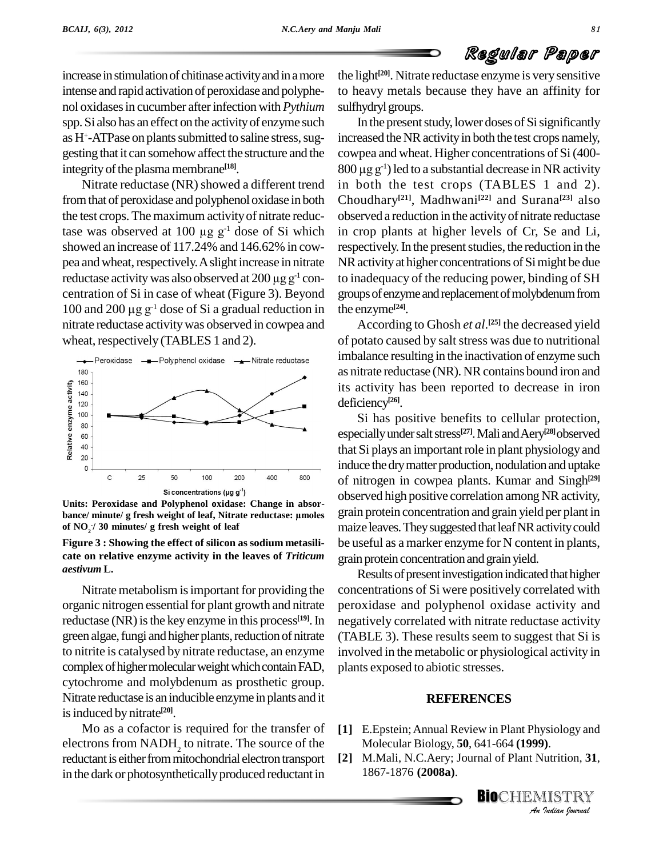increase in stimulation of chitinase activity and in a more intense and rapid activation of peroxidase and polyphe nol oxidases in cucumber after infection with *Pythium* spp. Si also has an effect on the activityof enzyme such as H<sup>+</sup>-ATPase on plants submitted to saline stress, suggesting that it can somehow affect the structure and the integrity of the plasma membrane<sup>[18]</sup>.

Nitrate reductase (NR) showed a different trend fromthat of peroxidase and polyphenol oxidase in both the test crops. The maximum activityof nitrate reducfrom that of peroxidase and polyphenol oxidase in both Choud<br>the test crops. The maximum activity of nitrate reduc-<br>tase was observed at 100  $\mu$ g  $g^{-1}$  dose of Si which in crop showed an increase of 117.24% and 146.62% in cow pea and wheat, respectively. A slight increase in nitrate showed an increase of 117.24% and 146.62% in cow-<br>pea and wheat, respectively. A slight increase in nitrate NR<br>reductase activity was also observed at 200  $\mu$ g g<sup>-1</sup> con-<br>centration of Si in case of wheat (Figure 3). Bey centration of Si in case of wheat (Figure 3). Beyond 100 and 200  $\mu$ g g<sup>-1</sup> dose of Si a gradual reduction in nitrate reductase activitywas observed in cowpea and wheat, respectively (TABLES 1 and 2).



**Units: Peroxidase and Polyphenol oxidase: Change in absor b** si concentrations (μg g<sup>-1</sup>) **b**<br>
Units: Peroxidase and Polyphenol oxidase: Change in absor-<br>
bance/ minute/ g fresh weight of leaf, Nitrate reductase: μmoles gra **of NO<sup>2</sup> -/ 30 minutes/ g fresh weight of leaf**

#### **Figure 3 : Showing the effect of silicon as sodium metasili cate on relative enzyme activity in the leaves of** *Triticum aestivum* **L.**

Nitrate metabolism is important for providing the organic nitrogen essential for plant growth and nitrate reductase (NR) is the key enzyme in this process<sup>[19]</sup>. In green algae, fungi and higher plants, reduction of nitrate to nitrite is catalysed by nitrate reductase, an enzyme complex of higher molecular weight which contain FAD, cytochrome and molybdenum as prosthetic group. Nitrate reductase is an inducible enzyme inplants and it is induced by nitrate<sup>[20]</sup>.

Mo as a cofactor is required for the transfer of electrons from  $NADH_2$  to nitrate. The source of the reductant is either from mitochondrial electron transport in the dark or photosynthetically produced reductant in

the light **[20]**. Nitrate reductase enzyme is verysensitive to heavy metals because they have an affinity for sulfhydryl groups.

In the present study, lower doses of Si significantly increased the NR activity in both the test crops namely,<br>cowpea and wheat. Higher concentrations of Si (400-<br>800 µg g<sup>-1</sup>) led to a substantial decrease in NR activity cowpea and wheat. Higher concentrations of Si(400-  $800 \mu$ g g<sup>-1</sup>) led to a substantial decrease in NR activity in both the test crops (TABLES 1 and 2). Choudhary **[21]**, Madhwani **[22]** and Surana **[23]** also observed a reduction in the activityof nitrate reductase in crop plants at higher levels of Cr, Se and Li, respectively. In the present studies, the reduction in the NR activity at higher concentrations of Simight be due to inadequacy of the reducing power, binding of SH groups of enzyme and replacement of molybdenum from the enzyme **[24]**.

According to Ghosh *et al*. **[25]** the decreased yield of potato caused by salt stress was due to nutritional imbalance resulting in the inactivation of enzyme such as nitrate reductase (NR). NR contains bound iron and its activity has been reported to decrease in iron deficiency **[26]**.

Si has positive benefits to cellular protection, especiallyundersaltstress **[27]**.Mali andAery **[28]**observed that Si plays an important role in plant physiology and induce the dry matter production, nodulation and uptake of nitrogen in cowpea plants. Kumar and Singh **[29]** observed high positive correlation among NR activity, grain protein concentration and grain yield per plant in maize leaves. They suggested that leaf NR activity could be useful as a marker enzyme for N content in plants, grain protein concentration and grain yield.

Results of present investigation indicated that higher concentrations of Si were positively correlated with peroxidase and polyphenol oxidase activity and <sup>[19]</sup>. In negatively correlated with nitrate reductase activity (TABLE 3). These results seem to suggest that Si is involved in the metabolic or physiological activity in plants exposed to abiotic stresses.

#### **REFERENCES**

- *I*<br>*I*<br>*I*<br>*IISTRY*<br>*Indian hournal* **[1]** E.Epstein;Annual Review in Plant Physiology and Molecular Biology, **50**, 641-664 **(1999)**.
- **[2]** M.Mali, N.C.Aery; Journal of Plant Nutrition, **31**, 1867-1876 **(2008a)**.